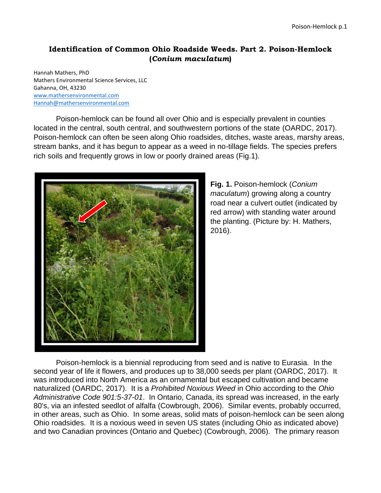## **Identification of Common Ohio Roadside Weeds. Part 2. Poison-Hemlock (***Conium maculatum***)**

Hannah Mathers, PhD Mathers Environmental Science Services, LLC Gahanna, OH, 43230 [www.mathersenvironmental.com](http://www.mathersenvironmental.com/) [Hannah@mathersenvironmental.com](mailto:Hannah@mathersenvironmental.com)

Poison-hemlock can be found all over Ohio and is especially prevalent in counties located in the central, south central, and southwestern portions of the state (OARDC, 2017). Poison-hemlock can often be seen along Ohio roadsides, ditches, waste areas, marshy areas, stream banks, and it has begun to appear as a weed in no-tillage fields. The species prefers rich soils and frequently grows in low or poorly drained areas (Fig.1).



**Fig. 1.** Poison-hemlock (*Conium maculatum*) growing along a country road near a culvert outlet (indicated by red arrow) with standing water around the planting. (Picture by: H. Mathers, 2016).

Poison-hemlock is a biennial reproducing from seed and is native to Eurasia. In the second year of life it flowers, and produces up to 38,000 seeds per plant (OARDC, 2017). It was introduced into North America as an ornamental but escaped cultivation and became naturalized (OARDC, 2017). It is a *Prohibited Noxious Weed* in Ohio according to the *Ohio Administrative Code 901:5-37-01*. In Ontario, Canada, its spread was increased, in the early 80's, via an infested seedlot of alfalfa (Cowbrough, 2006). Similar events, probably occurred, in other areas, such as Ohio. In some areas, solid mats of poison-hemlock can be seen along Ohio roadsides. It is a noxious weed in seven US states (including Ohio as indicated above) and two Canadian provinces (Ontario and Quebec) (Cowbrough, 2006). The primary reason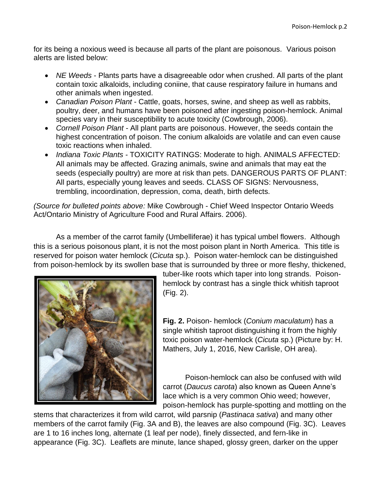for its being a noxious weed is because all parts of the plant are poisonous. Various poison alerts are listed below:

- *NE Weeds* Plants parts have a disagreeable odor when crushed. All parts of the plant contain toxic alkaloids, including coniine, that cause respiratory failure in humans and other animals when ingested.
- *Canadian Poison Plant* Cattle, goats, horses, swine, and sheep as well as rabbits, poultry, deer, and humans have been poisoned after ingesting poison-hemlock. Animal species vary in their susceptibility to acute toxicity (Cowbrough, 2006).
- *Cornell Poison Plant* All plant parts are poisonous. However, the seeds contain the highest concentration of poison. The conium alkaloids are volatile and can even cause toxic reactions when inhaled.
- *Indiana Toxic Plants -* TOXICITY RATINGS: Moderate to high. ANIMALS AFFECTED: All animals may be affected. Grazing animals, swine and animals that may eat the seeds (especially poultry) are more at risk than pets. DANGEROUS PARTS OF PLANT: All parts, especially young leaves and seeds. CLASS OF SIGNS: Nervousness, trembling, incoordination, depression, coma, death, birth defects.

*(Source for bulleted points above:* Mike Cowbrough - Chief Weed Inspector Ontario Weeds Act/Ontario Ministry of Agriculture Food and Rural Affairs. 2006).

As a member of the carrot family (Umbelliferae) it has typical umbel flowers. Although this is a serious poisonous plant, it is not the most poison plant in North America. This title is reserved for poison water hemlock (*Cicuta* sp.). Poison water-hemlock can be distinguished from poison-hemlock by its swollen base that is surrounded by three or more fleshy, thickened,



tuber-like roots which taper into long strands. Poisonhemlock by contrast has a single thick whitish taproot (Fig. 2).

**Fig. 2.** Poison- hemlock (*Conium maculatum*) has a single whitish taproot distinguishing it from the highly toxic poison water-hemlock (*Cicuta* sp.) (Picture by: H. Mathers, July 1, 2016, New Carlisle, OH area).

Poison-hemlock can also be confused with wild carrot (*Daucus carota*) also known as Queen Anne's lace which is a very common Ohio weed; however, poison-hemlock has purple-spotting and mottling on the

stems that characterizes it from wild carrot, wild parsnip (*Pastinaca sativa*) and many other members of the carrot family (Fig. 3A and B), the leaves are also compound (Fig. 3C). Leaves are 1 to 16 inches long, alternate (1 leaf per node), finely dissected, and fern-like in appearance (Fig. 3C). Leaflets are minute, lance shaped, glossy green, darker on the upper